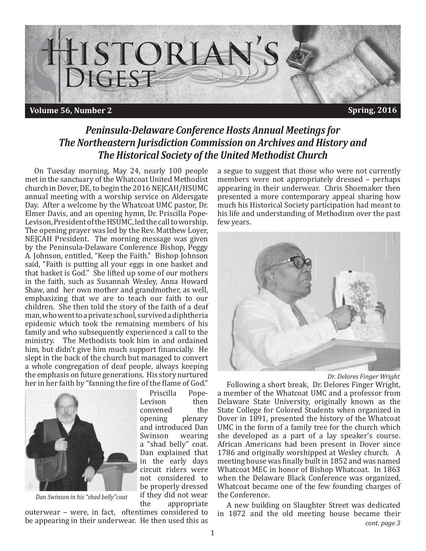

### *Peninsula-Delaware Conference Hosts Annual Meetings for The Northeastern Jurisdiction Commission on Archives and History and The Historical Society of the United Methodist Church*

On Tuesday morning, May 24, nearly 100 people met in the sanctuary of the Whatcoat United Methodist church in Dover, DE, to begin the 2016 NEJCAH/HSUMC annual meeting with a worship service on Aldersgate Day. After a welcome by the Whatcoat UMC pastor, Dr. Elmer Davis, and an opening hymn, Dr. Priscilla Pope-Levison, President of the HSUMC, led the call to worship. The opening prayer was led by the Rev. Matthew Loyer, NEJCAH President. The morning message was given by the Peninsula-Delaware Conference Bishop, Peggy A. Johnson, entitled, "Keep the Faith." Bishop Johnson said, "Faith is putting all your eggs in one basket and that basket is God." She lifted up some of our mothers in the faith, such as Susannah Wesley, Anna Howard Shaw, and her own mother and grandmother, as well, emphasizing that we are to teach our faith to our children. She then told the story of the faith of a deaf man, who went to a private school, survived a diphtheria epidemic which took the remaining members of his family and who subsequently experienced a call to the ministry. The Methodists took him in and ordained him, but didn't give him much support financially. He slept in the back of the church but managed to convert a whole congregation of deaf people, always keeping the emphasis on future generations. His story nurtured her in her faith by "fanning the fire of the flame of God."



*Dan Swinson in his "shad belly"coat*

Priscilla Pope-Levison then convened the opening plenary and introduced Dan Swinson wearing a "shad belly" coat. Dan explained that in the early days circuit riders were not considered to be properly dressed if they did not wear the appropriate

outerwear – were, in fact, oftentimes considered to be appearing in their underwear. He then used this as a segue to suggest that those who were not currently members were not appropriately dressed – perhaps appearing in their underwear. Chris Shoemaker then presented a more contemporary appeal sharing how much his Historical Society participation had meant to his life and understanding of Methodism over the past few years.



*Dr. Delores Finger Wright*

Following a short break, Dr. Delores Finger Wright, a member of the Whatcoat UMC and a professor from Delaware State University, originally known as the State College for Colored Students when organized in Dover in 1891, presented the history of the Whatcoat UMC in the form of a family tree for the church which she developed as a part of a lay speaker's course. African Americans had been present in Dover since 1786 and originally worshipped at Wesley church. A meeting house was finally built in 1852 and was named Whatcoat MEC in honor of Bishop Whatcoat. In 1863 when the Delaware Black Conference was organized, Whatcoat became one of the few founding charges of the Conference.

A new building on Slaughter Street was dedicated in 1872 and the old meeting house became their *cont. page 3*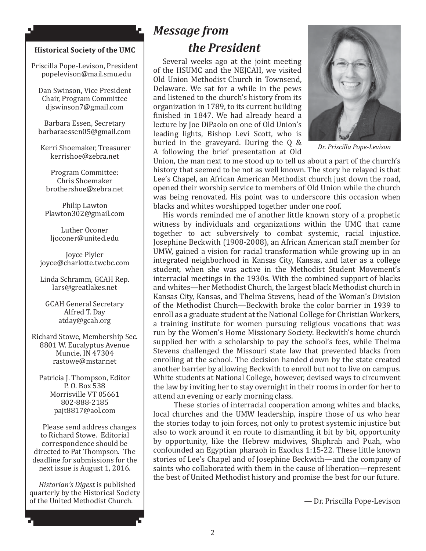#### **Historical Society of the UMC**

Ł

۸J

Priscilla Pope-Levison, President popelevison@mail.smu.edu

Dan Swinson, Vice President Chair, Program Committee djswinson7@gmail.com

Barbara Essen, Secretary barbaraessen05@gmail.com

 Kerri Shoemaker, Treasurer kerrishoe@zebra.net

Program Committee: Chris Shoemaker brothershoe@zebra.net

Philip Lawton Plawton302@gmail.com

Luther Oconer ljoconer@united.edu

Joyce Plyler joyce@charlotte.twcbc.com

Linda Schramm, GCAH Rep. lars@greatlakes.net

GCAH General Secretary Alfred T. Day atday@gcah.org

Richard Stowe, Membership Sec. 8801 W. Eucalyptus Avenue Muncie, IN 47304 rastowe@mstar.net

Patricia J. Thompson, Editor P. O. Box 538 Morrisville VT 05661 802-888-2185 pajt8817@aol.com

Please send address changes to Richard Stowe. Editorial correspondence should be directed to Pat Thompson. The deadline for submissions for the next issue is August 1, 2016.

*Historian's Digest* is published quarterly by the Historical Society of the United Methodist Church.

# *Message from the President*

Several weeks ago at the joint meeting of the HSUMC and the NEJCAH, we visited Old Union Methodist Church in Townsend, Delaware. We sat for a while in the pews and listened to the church's history from its organization in 1789, to its current building finished in 1847. We had already heard a lecture by Joe DiPaolo on one of Old Union's leading lights, Bishop Levi Scott, who is buried in the graveyard. During the Q & A following the brief presentation at Old



*Dr. Priscilla Pope-Levison*

Union, the man next to me stood up to tell us about a part of the church's history that seemed to be not as well known. The story he relayed is that Lee's Chapel, an African American Methodist church just down the road, opened their worship service to members of Old Union while the church was being renovated. His point was to underscore this occasion when blacks and whites worshipped together under one roof.

His words reminded me of another little known story of a prophetic witness by individuals and organizations within the UMC that came together to act subversively to combat systemic, racial injustice. Josephine Beckwith (1908-2008), an African American staff member for UMW, gained a vision for racial transformation while growing up in an integrated neighborhood in Kansas City, Kansas, and later as a college student, when she was active in the Methodist Student Movement's interracial meetings in the 1930s. With the combined support of blacks and whites—her Methodist Church, the largest black Methodist church in Kansas City, Kansas, and Thelma Stevens, head of the Woman's Division of the Methodist Church—Beckwith broke the color barrier in 1939 to enroll as a graduate student at the National College for Christian Workers, a training institute for women pursuing religious vocations that was run by the Women's Home Missionary Society. Beckwith's home church supplied her with a scholarship to pay the school's fees, while Thelma Stevens challenged the Missouri state law that prevented blacks from enrolling at the school. The decision handed down by the state created another barrier by allowing Beckwith to enroll but not to live on campus. White students at National College, however, devised ways to circumvent the law by inviting her to stay overnight in their rooms in order for her to attend an evening or early morning class.

 These stories of interracial cooperation among whites and blacks, local churches and the UMW leadership, inspire those of us who hear the stories today to join forces, not only to protest systemic injustice but also to work around it en route to dismantling it bit by bit, opportunity by opportunity, like the Hebrew midwives, Shiphrah and Puah, who confounded an Egyptian pharaoh in Exodus 1:15-22. These little known stories of Lee's Chapel and of Josephine Beckwith—and the company of saints who collaborated with them in the cause of liberation—represent the best of United Methodist history and promise the best for our future.

— Dr. Priscilla Pope-Levison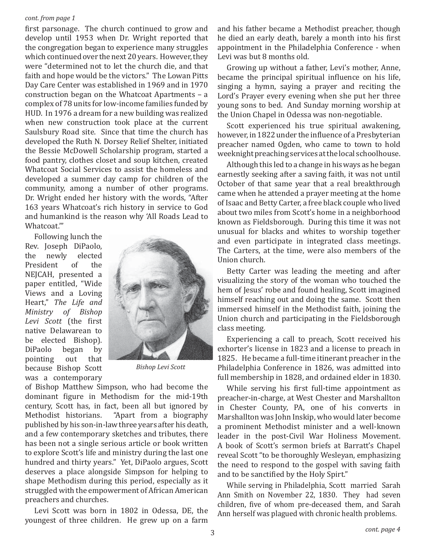#### *cont. from page 1*

first parsonage. The church continued to grow and develop until 1953 when Dr. Wright reported that the congregation began to experience many struggles which continued over the next 20 years. However, they were "determined not to let the church die, and that faith and hope would be the victors." The Lowan Pitts Day Care Center was established in 1969 and in 1970 construction began on the Whatcoat Apartments – a complex of 78 units for low-income families funded by HUD. In 1976 a dream for a new building was realized when new construction took place at the current Saulsbury Road site. Since that time the church has developed the Ruth N. Dorsey Relief Shelter, initiated the Bessie McDowell Scholarship program, started a food pantry, clothes closet and soup kitchen, created Whatcoat Social Services to assist the homeless and developed a summer day camp for children of the community, among a number of other programs. Dr. Wright ended her history with the words, "After 163 years Whatcoat's rich history in service to God and humankind is the reason why 'All Roads Lead to Whatcoat.'"

Following lunch the Rev. Joseph DiPaolo, the newly elected President of the NEJCAH, presented a paper entitled, "Wide Views and a Loving Heart," *The Life and Ministry of Bishop*  Levi Scott (the first native Delawarean to be elected Bishop). DiPaolo began by pointing out that because Bishop Scott was a contemporary



*Bishop Levi Scott*

of Bishop Matthew Simpson, who had become the dominant figure in Methodism for the mid-19th century, Scott has, in fact, been all but ignored by Methodist historians. "Apart from a biography published by his son-in-law three years after his death, and a few contemporary sketches and tributes, there has been not a single serious article or book written to explore Scott's life and ministry during the last one hundred and thirty years." Yet, DiPaolo argues, Scott deserves a place alongside Simpson for helping to shape Methodism during this period, especially as it struggled with the empowerment of African American preachers and churches.

Levi Scott was born in 1802 in Odessa, DE, the youngest of three children. He grew up on a farm and his father became a Methodist preacher, though he died an early death, barely a month into his first appointment in the Philadelphia Conference - when Levi was but 8 months old.

Growing up without a father, Levi's mother, Anne, became the principal spiritual influence on his life, singing a hymn, saying a prayer and reciting the Lord's Prayer every evening when she put her three young sons to bed. And Sunday morning worship at the Union Chapel in Odessa was non-negotiable.

Scott experienced his true spiritual awakening, however, in 1822 under the influence of a Presbyterian preacher named Ogden, who came to town to hold weeknight preaching services at the local schoolhouse.

Although this led to a change in his ways as he began earnestly seeking after a saving faith, it was not until October of that same year that a real breakthrough came when he attended a prayer meeting at the home of Isaac and Betty Carter, a free black couple who lived about two miles from Scott's home in a neighborhood known as Fieldsborough. During this time it was not unusual for blacks and whites to worship together and even participate in integrated class meetings. The Carters, at the time, were also members of the Union church.

Betty Carter was leading the meeting and after visualizing the story of the woman who touched the hem of Jesus' robe and found healing, Scott imagined himself reaching out and doing the same. Scott then immersed himself in the Methodist faith, joining the Union church and participating in the Fieldsborough class meeting.

Experiencing a call to preach, Scott received his exhorter's license in 1823 and a license to preach in 1825. He became a full-time itinerant preacher in the Philadelphia Conference in 1826, was admitted into full membership in 1828, and ordained elder in 1830.

While serving his first full-time appointment as preacher-in-charge, at West Chester and Marshallton in Chester County, PA, one of his converts in Marshallton was John Inskip, who would later become a prominent Methodist minister and a well-known leader in the post-Civil War Holiness Movement. A book of Scott's sermon briefs at Barratt's Chapel reveal Scott "to be thoroughly Wesleyan, emphasizing the need to respond to the gospel with saving faith and to be sanctified by the Holy Spirt."

While serving in Philadelphia, Scott married Sarah Ann Smith on November 22, 1830. They had seven children, five of whom pre-deceased them, and Sarah Ann herself was plagued with chronic health problems.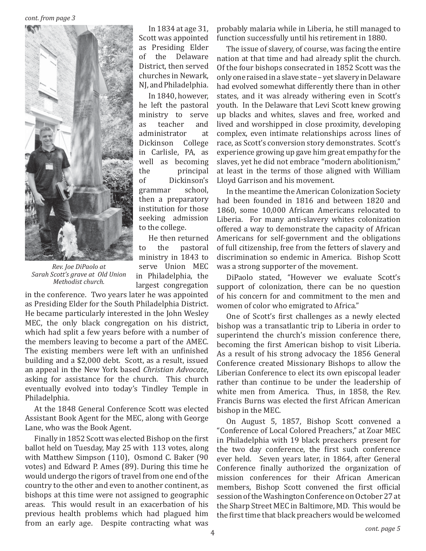

*Rev. Joe DiPaolo at Sarah Scott's grave at Old Union Methodist church.*

In 1834 at age 31, Scott was appointed as Presiding Elder of the Delaware District, then served churches in Newark, NJ, and Philadelphia.

In 1840, however, he left the pastoral ministry to serve as teacher and administrator at Dickinson College in Carlisle, PA, as well as becoming the principal of Dickinson's grammar school, then a preparatory institution for those seeking admission to the college.

He then returned to the pastoral ministry in 1843 to serve Union MEC in Philadelphia, the largest congregation

in the conference. Two years later he was appointed as Presiding Elder for the South Philadelphia District. He became particularly interested in the John Wesley MEC, the only black congregation on his district, which had split a few years before with a number of the members leaving to become a part of the AMEC. The existing members were left with an unfinished building and a \$2,000 debt. Scott, as a result, issued an appeal in the New York based *Christian Advocate*, asking for assistance for the church. This church eventually evolved into today's Tindley Temple in Philadelphia.

At the 1848 General Conference Scott was elected Assistant Book Agent for the MEC, along with George Lane, who was the Book Agent.

Finally in 1852 Scott was elected Bishop on the first ballot held on Tuesday, May 25 with 113 votes, along with Matthew Simpson (110), Osmond C. Baker (90 votes) and Edward P. Ames (89). During this time he would undergo the rigors of travel from one end of the country to the other and even to another continent, as bishops at this time were not assigned to geographic areas. This would result in an exacerbation of his previous health problems which had plagued him from an early age. Despite contracting what was

probably malaria while in Liberia, he still managed to function successfully until his retirement in 1880.

The issue of slavery, of course, was facing the entire nation at that time and had already split the church. Of the four bishops consecrated in 1852 Scott was the only one raised in a slave state – yet slavery in Delaware had evolved somewhat differently there than in other states, and it was already withering even in Scott's youth. In the Delaware that Levi Scott knew growing up blacks and whites, slaves and free, worked and lived and worshipped in close proximity, developing complex, even intimate relationships across lines of race, as Scott's conversion story demonstrates. Scott's experience growing up gave him great empathy for the slaves, yet he did not embrace "modern abolitionism," at least in the terms of those aligned with William Lloyd Garrison and his movement.

In the meantime the American Colonization Society had been founded in 1816 and between 1820 and 1860, some 10,000 African Americans relocated to Liberia. For many anti-slavery whites colonization offered a way to demonstrate the capacity of African Americans for self-government and the obligations of full citizenship, free from the fetters of slavery and discrimination so endemic in America. Bishop Scott was a strong supporter of the movement.

DiPaolo stated, "However we evaluate Scott's support of colonization, there can be no question of his concern for and commitment to the men and women of color who emigrated to Africa."

One of Scott's first challenges as a newly elected bishop was a transatlantic trip to Liberia in order to superintend the church's mission conference there, becoming the first American bishop to visit Liberia. As a result of his strong advocacy the 1856 General Conference created Missionary Bishops to allow the Liberian Conference to elect its own episcopal leader rather than continue to be under the leadership of white men from America. Thus, in 1858, the Rev. Francis Burns was elected the first African American bishop in the MEC.

On August 5, 1857, Bishop Scott convened a "Conference of Local Colored Preachers," at Zoar MEC in Philadelphia with 19 black preachers present for the two day conference, the first such conference ever held. Seven years later, in 1864, after General Conference finally authorized the organization of mission conferences for their African American members, Bishop Scott convened the first official session of the Washington Conference on October 27 at the Sharp Street MEC in Baltimore, MD. This would be the first time that black preachers would be welcomed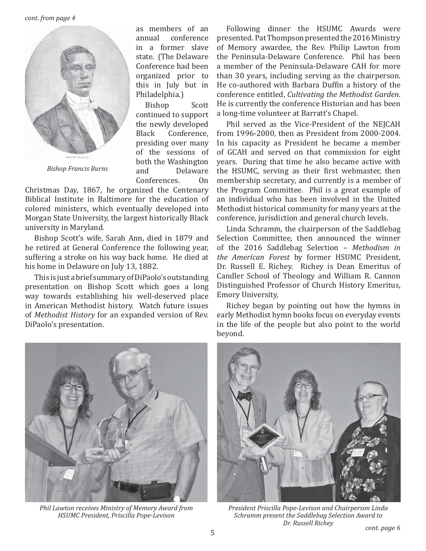*cont. from page 4*



*Bishop Francis Burns*

as members of an annual conference in a former slave state. (The Delaware Conference had been organized prior to this in July but in Philadelphia.)

Bishop Scott continued to support the newly developed Black Conference, presiding over many of the sessions of both the Washington and Delaware Conferences. On

Christmas Day, 1867, he organized the Centenary Biblical Institute in Baltimore for the education of colored ministers, which eventually developed into Morgan State University, the largest historically Black university in Maryland.

Bishop Scott's wife, Sarah Ann, died in 1879 and he retired at General Conference the following year, suffering a stroke on his way back home. He died at his home in Delaware on July 13, 1882.

This is just a brief summary of DiPaolo's outstanding presentation on Bishop Scott which goes a long way towards establishing his well-deserved place in American Methodist history. Watch future issues of *Methodist History* for an expanded version of Rev. DiPaolo's presentation.

Following dinner the HSUMC Awards were presented. Pat Thompson presented the 2016 Ministry of Memory awardee, the Rev. Philip Lawton from the Peninsula-Delaware Conference. Phil has been a member of the Peninsula-Delaware CAH for more than 30 years, including serving as the chairperson. He co-authored with Barbara Duffin a history of the conference entitled, *Cultivating the Methodist Garden*. He is currently the conference Historian and has been a long-time volunteer at Barratt's Chapel.

Phil served as the Vice-President of the NEJCAH from 1996-2000, then as President from 2000-2004. In his capacity as President he became a member of GCAH and served on that commission for eight years. During that time he also became active with the HSUMC, serving as their first webmaster, then membership secretary, and currently is a member of the Program Committee. Phil is a great example of an individual who has been involved in the United Methodist historical community for many years at the conference, jurisdiction and general church levels.

Linda Schramm, the chairperson of the Saddlebag Selection Committee, then announced the winner of the 2016 Saddlebag Selection – *Methodism in the American Forest* by former HSUMC President, Dr. Russell E. Richey. Richey is Dean Emeritus of Candler School of Theology and William R. Cannon Distinguished Professor of Church History Emeritus, Emory University,

Richey began by pointing out how the hymns in early Methodist hymn books focus on everyday events in the life of the people but also point to the world beyond.



*Phil Lawton receives Ministry of Memory Award from HSUMC President, Priscilla Pope-Levison*



*President Priscilla Pope-Levison and Chairperson Linda Schramm present the Saddlebag Selection Award to Dr. Russell Richey*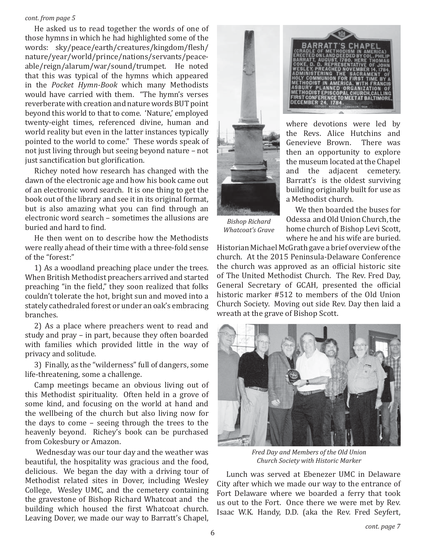#### *cont. from page 5*

He asked us to read together the words of one of those hymns in which he had highlighted some of the words: sky/peace/earth/creatures/kingdom/flesh/ nature/year/world/prince/nations/servants/peaceable/reign/alarum/war/sound/trumpet. He noted that this was typical of the hymns which appeared in the *Pocket Hymn-Book* which many Methodists would have carried with them. "The hymn's verses reverberate with creation and nature words BUT point beyond this world to that to come. 'Nature,' employed twenty-eight times, referenced divine, human and world reality but even in the latter instances typically pointed to the world to come." These words speak of not just living through but seeing beyond nature – not just sanctification but glorification.

Richey noted how research has changed with the dawn of the electronic age and how his book came out of an electronic word search. It is one thing to get the book out of the library and see it in its original format, but is also amazing what you can find through an electronic word search – sometimes the allusions are buried and hard to find.

He then went on to describe how the Methodists were really ahead of their time with a three-fold sense of the "forest:"

1) As a woodland preaching place under the trees. When British Methodist preachers arrived and started preaching "in the field," they soon realized that folks couldn't tolerate the hot, bright sun and moved into a stately cathedraled forest or under an oak's embracing branches.

2) As a place where preachers went to read and study and pray – in part, because they often boarded with families which provided little in the way of privacy and solitude.

3) Finally, as the "wilderness" full of dangers, some life-threatening, some a challenge.

Camp meetings became an obvious living out of this Methodist spirituality. Often held in a grove of some kind, and focusing on the world at hand and the wellbeing of the church but also living now for the days to come – seeing through the trees to the heavenly beyond. Richey's book can be purchased from Cokesbury or Amazon.

 Wednesday was our tour day and the weather was beautiful, the hospitality was gracious and the food, delicious. We began the day with a driving tour of Methodist related sites in Dover, including Wesley College, Wesley UMC, and the cemetery containing the gravestone of Bishop Richard Whatcoat and the building which housed the first Whatcoat church. Leaving Dover, we made our way to Barratt's Chapel,



then an opportunity to explore the museum located at the Chapel and the adjacent cemetery. Barratt's is the oldest surviving building originally built for use as a Methodist church. We then boarded the buses for

*Bishop Richard Whatcoat's Grave*

Odessa and Old Union Church, the home church of Bishop Levi Scott, where he and his wife are buried.

Historian Michael McGrath gave a brief overview of the church. At the 2015 Peninsula-Delaware Conference the church was approved as an official historic site of The United Methodist Church. The Rev. Fred Day, General Secretary of GCAH, presented the official historic marker #512 to members of the Old Union Church Society. Moving out side Rev. Day then laid a wreath at the grave of Bishop Scott.



*Fred Day and Members of the Old Union Church Society with Historic Marker*

Lunch was served at Ebenezer UMC in Delaware City after which we made our way to the entrance of Fort Delaware where we boarded a ferry that took us out to the Fort. Once there we were met by Rev. Isaac W.K. Handy, D.D. (aka the Rev. Fred Seyfert,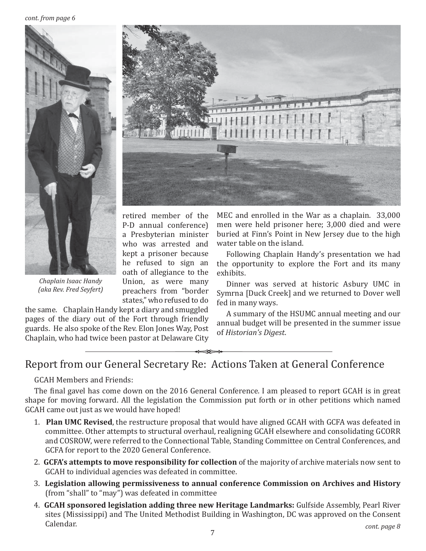*cont. from page 6*



retired member of the P-D annual conference) a Presbyterian minister who was arrested and kept a prisoner because he refused to sign an oath of allegiance to the Union, as were many preachers from "border states," who refused to do

the same. Chaplain Handy kept a diary and smuggled pages of the diary out of the Fort through friendly guards. He also spoke of the Rev. Elon Jones Way, Post Chaplain, who had twice been pastor at Delaware City

MEC and enrolled in the War as a chaplain. 33,000 men were held prisoner here; 3,000 died and were buried at Finn's Point in New Jersey due to the high water table on the island.

Following Chaplain Handy's presentation we had the opportunity to explore the Fort and its many exhibits.

Dinner was served at historic Asbury UMC in Symrna [Duck Creek] and we returned to Dover well fed in many ways.

A summary of the HSUMC annual meeting and our annual budget will be presented in the summer issue of *Historian's Digest*.

## Report from our General Secretary Re: Actions Taken at General Conference

GCAH Members and Friends:

*Chaplain Isaac Handy (aka Rev. Fred Seyfert)* 

The final gavel has come down on the 2016 General Conference. I am pleased to report GCAH is in great shape for moving forward. All the legislation the Commission put forth or in other petitions which named GCAH came out just as we would have hoped!

- 1. **Plan UMC Revised**, the restructure proposal that would have aligned GCAH with GCFA was defeated in committee. Other attempts to structural overhaul, realigning GCAH elsewhere and consolidating GCORR and COSROW, were referred to the Connectional Table, Standing Committee on Central Conferences, and GCFA for report to the 2020 General Conference.
- 2. **GCFA's attempts to move responsibility for collection** of the majority of archive materials now sent to GCAH to individual agencies was defeated in committee.
- 3. **Legislation allowing permissiveness to annual conference Commission on Archives and History** (from "shall" to "may") was defeated in committee
- 4. **GCAH sponsored legislation adding three new Heritage Landmarks:** Gulfside Assembly, Pearl River sites (Mississippi) and The United Methodist Building in Washington, DC was approved on the Consent Calendar. *cont. page 8*